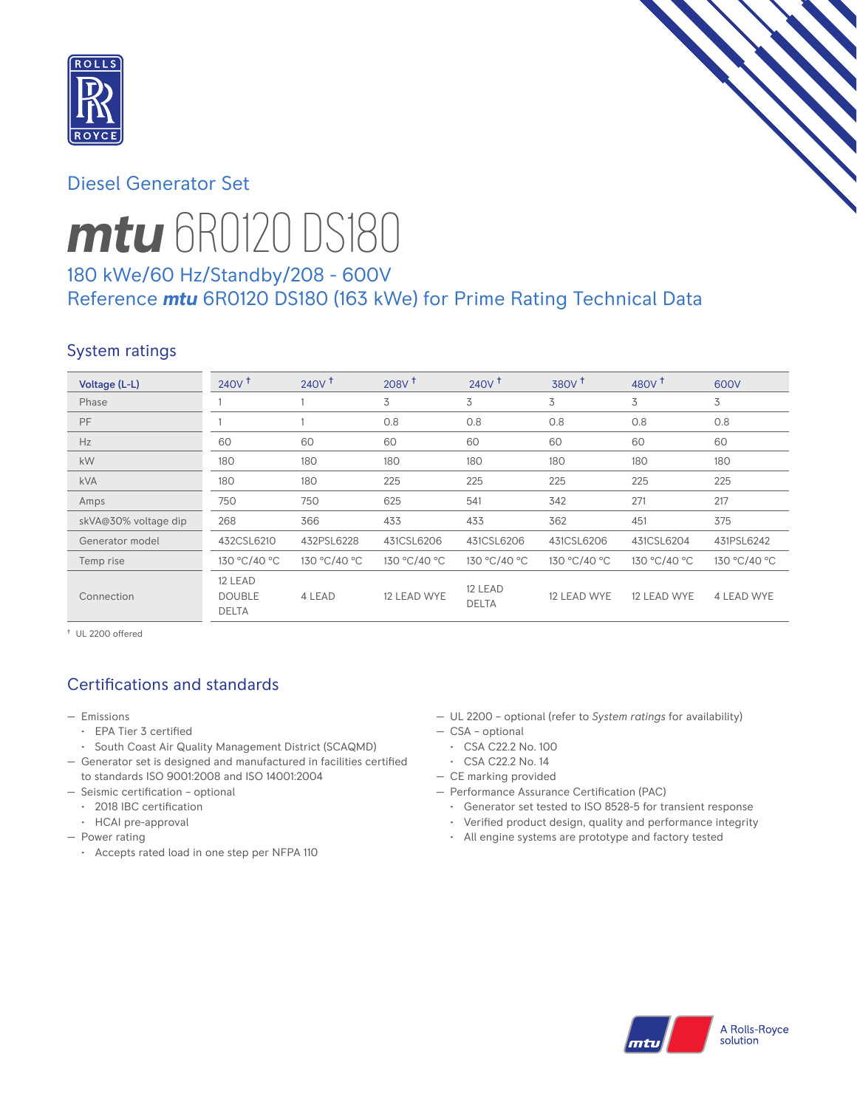

# Diesel Generator Set



# *mtu* 6R0120 DS180

# 180 kWe/60 Hz/Standby/208 - 600V Reference *mtu* 6R0120 DS180 (163 kWe) for Prime Rating Technical Data

# System ratings

| Voltage (L-L)        | $240V$ <sup>+</sup>                      | $240V$ <sup>+</sup> | 208V <sup>†</sup> | 240V <sup>†</sup>       | 380V <sup>+</sup> | 480 $V†$     | 600V         |
|----------------------|------------------------------------------|---------------------|-------------------|-------------------------|-------------------|--------------|--------------|
| Phase                |                                          |                     | 3                 | 3                       | 3                 | 3            | 3            |
| <b>PF</b>            |                                          |                     | 0.8               | 0.8                     | 0.8               | 0.8          | 0.8          |
| Hz                   | 60                                       | 60                  | 60                | 60                      | 60                | 60           | 60           |
| kW                   | 180                                      | 180                 | 180               | 180                     | 180               | 180          | 180          |
| <b>kVA</b>           | 180                                      | 180                 | 225               | 225                     | 225               | 225          | 225          |
| Amps                 | 750                                      | 750                 | 625               | 541                     | 342               | 271          | 217          |
| skVA@30% voltage dip | 268                                      | 366                 | 433               | 433                     | 362               | 451          | 375          |
| Generator model      | 432CSL6210                               | 432PSL6228          | 431CSL6206        | 431CSL6206              | 431CSL6206        | 431CSL6204   | 431PSL6242   |
| Temp rise            | 130 °C/40 °C                             | 130 °C/40 °C        | 130 °C/40 °C      | 130 °C/40 °C            | 130 °C/40 °C      | 130 °C/40 °C | 130 °C/40 °C |
| Connection           | 12 LEAD<br><b>DOUBLE</b><br><b>DELTA</b> | 4 LEAD              | 12 LEAD WYE       | 12 LEAD<br><b>DELTA</b> | 12 LEAD WYE       | 12 LEAD WYE  | 4 LEAD WYE   |

† UL 2200 offered

# Certifications and standards

- Emissions
	- EPA Tier 3 certified
	- South Coast Air Quality Management District (SCAQMD)
- Generator set is designed and manufactured in facilities certified to standards ISO 9001:2008 and ISO 14001:2004
- Seismic certification optional
	- 2018 IBC certification
	- HCAI pre-approval
- Power rating
	- Accepts rated load in one step per NFPA 110
- UL 2200 optional (refer to *System ratings* for availability)
- CSA optional
- CSA C22.2 No. 100
- CSA C22.2 No. 14
- CE marking provided
- Performance Assurance Certification (PAC)
	- Generator set tested to ISO 8528-5 for transient response
	- Verified product design, quality and performance integrity
	- All engine systems are prototype and factory tested

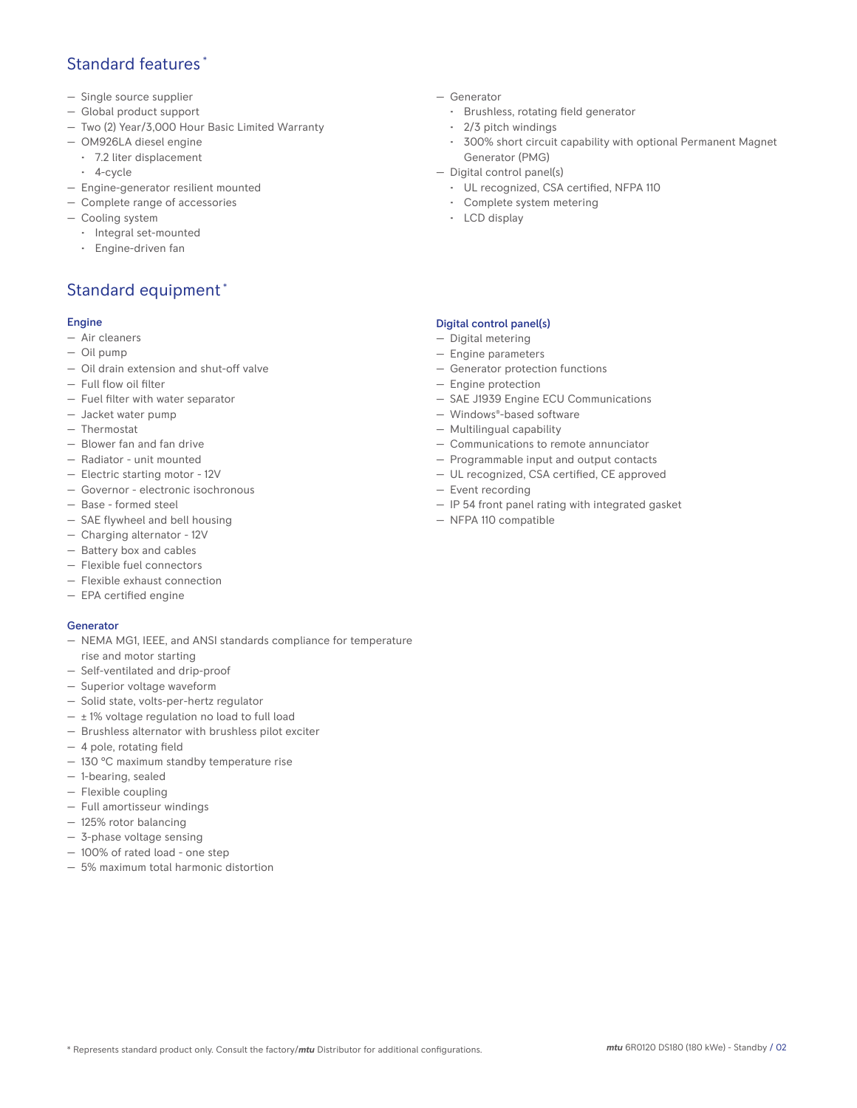## Standard features \*

- Single source supplier
- Global product support
- Two (2) Year/3,000 Hour Basic Limited Warranty
- OM926LA diesel engine
	- 7.2 liter displacement
	- 4-cycle
- Engine-generator resilient mounted
- Complete range of accessories
- Cooling system
	- Integral set-mounted
	- Engine-driven fan

# Standard equipment \*

#### Engine

- Air cleaners
- Oil pump
- Oil drain extension and shut-off valve
- Full flow oil filter
- Fuel filter with water separator
- Jacket water pump
- Thermostat
- Blower fan and fan drive
- Radiator unit mounted
- Electric starting motor 12V
- Governor electronic isochronous
- Base formed steel
- SAE flywheel and bell housing
- Charging alternator 12V
- Battery box and cables
- Flexible fuel connectors
- Flexible exhaust connection
- EPA certified engine

#### Generator

- NEMA MG1, IEEE, and ANSI standards compliance for temperature rise and motor starting
- Self-ventilated and drip-proof
- Superior voltage waveform
- Solid state, volts-per-hertz regulator
- $\pm$  1% voltage regulation no load to full load
- Brushless alternator with brushless pilot exciter
- 4 pole, rotating field
- 130 °C maximum standby temperature rise
- 1-bearing, sealed
- Flexible coupling
- Full amortisseur windings
- 125% rotor balancing
- 3-phase voltage sensing
- 100% of rated load one step
- 5% maximum total harmonic distortion
- Generator
	- Brushless, rotating field generator
	- 2/3 pitch windings
	- 300% short circuit capability with optional Permanent Magnet Generator (PMG)
- Digital control panel(s)
	- UL recognized, CSA certified, NFPA 110
	- Complete system metering
	- LCD display

### Digital control panel(s)

- Digital metering
- Engine parameters
- Generator protection functions
- Engine protection
- SAE J1939 Engine ECU Communications
- Windows®-based software
- Multilingual capability
- Communications to remote annunciator
- Programmable input and output contacts
- UL recognized, CSA certified, CE approved
- Event recording
- IP 54 front panel rating with integrated gasket
- NFPA 110 compatible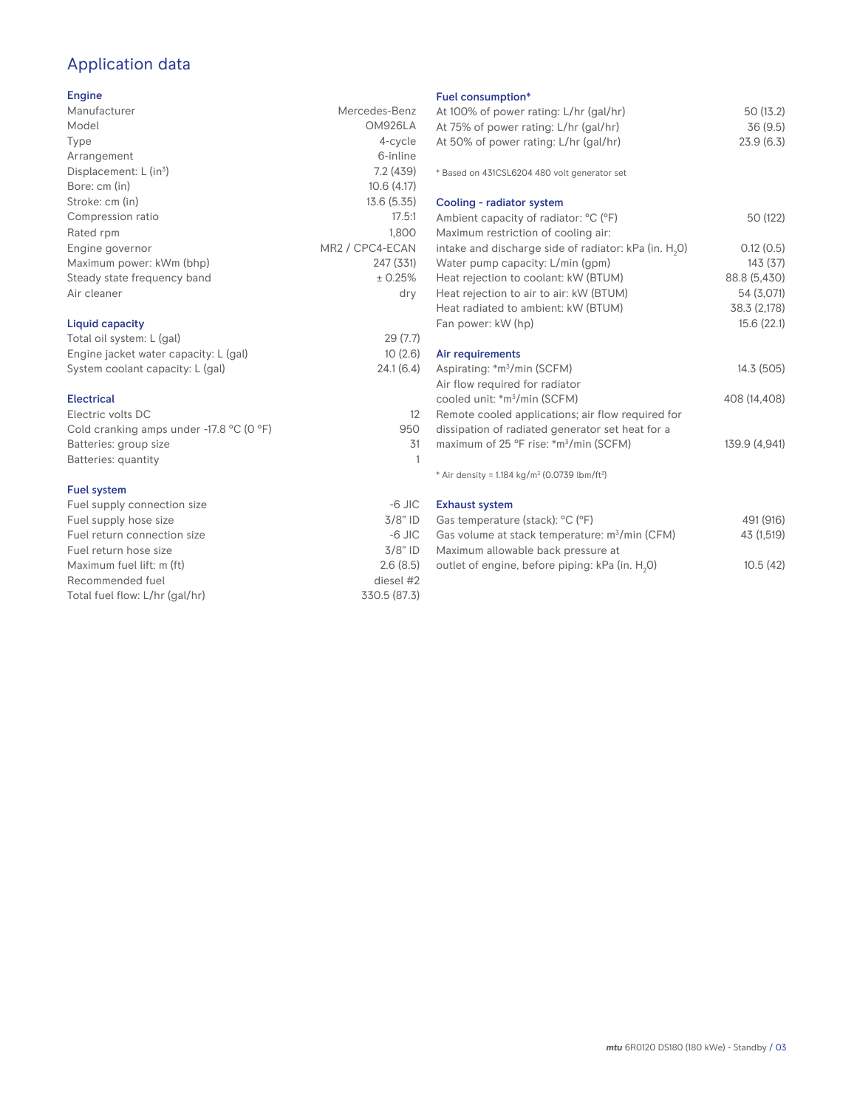# Application data

### Engine

| Manufacturer                | Mercedes-Benz   |
|-----------------------------|-----------------|
| Model                       | OM926LA         |
| Type                        | 4-cycle         |
| Arrangement                 | 6-inline        |
| Displacement: $L (in3)$     | 7.2(439)        |
| Bore: cm (in)               | 10.6(4.17)      |
| Stroke: cm (in)             | 13.6(5.35)      |
| Compression ratio           | 17.5:1          |
| Rated rpm                   | 1.800           |
| Engine governor             | MR2 / CPC4-ECAN |
| Maximum power: kWm (bhp)    | 247 (331)       |
| Steady state frequency band | ± 0.25%         |
| Air cleaner                 | dry             |
| Liquid capacity             |                 |

#### Total oil system: L (gal) 29 (7.7) Engine jacket water capacity: L (gal) 10 (2.6)<br>System coolant capacity: L (gal) 24.1 (6.4) System coolant capacity: L (gal)

| <b>Electrical</b>                          |     |
|--------------------------------------------|-----|
| Electric volts DC                          | 12  |
| Cold cranking amps under $-17.8$ °C (0 °F) | 950 |
| Batteries: group size                      | .31 |
| Batteries: quantity                        |     |
|                                            |     |

#### Fuel system

| Fuel supply connection size    | $-6$ JIC     |
|--------------------------------|--------------|
| Fuel supply hose size          | $3/8"$ ID    |
| Fuel return connection size    | $-6$ JIC     |
| Fuel return hose size          | $3/8"$ ID    |
| Maximum fuel lift: m (ft)      | 2.6(8.5)     |
| Recommended fuel               | diesel #2    |
| Total fuel flow: L/hr (gal/hr) | 330.5 (87.3) |

## Fuel consumption\*

| Fuel consumption <sup>®</sup><br>At 100% of power rating: L/hr (gal/hr)<br>At 75% of power rating: L/hr (gal/hr)<br>At 50% of power rating: L/hr (gal/hr) | 50 (13.2)<br>36(9.5)<br>23.9(6.3) |
|-----------------------------------------------------------------------------------------------------------------------------------------------------------|-----------------------------------|
| * Based on 431CSL6204 480 volt generator set                                                                                                              |                                   |
| Cooling - radiator system                                                                                                                                 |                                   |
| Ambient capacity of radiator: °C (°F)<br>Maximum restriction of cooling air:                                                                              | 50 (122)                          |
| intake and discharge side of radiator: kPa (in. H <sub>2</sub> O)                                                                                         | 0.12(0.5)                         |
| Water pump capacity: L/min (gpm)                                                                                                                          | 143(37)                           |
| Heat rejection to coolant: kW (BTUM)                                                                                                                      | 88.8 (5,430)                      |
| Heat rejection to air to air: kW (BTUM)                                                                                                                   | 54 (3,071)                        |
| Heat radiated to ambient: kW (BTUM)                                                                                                                       | 38.3 (2,178)                      |
| Fan power: kW (hp)                                                                                                                                        | 15.6(22.1)                        |
| Air requirements                                                                                                                                          |                                   |
| Aspirating: *m <sup>3</sup> /min (SCFM)<br>Air flow required for radiator                                                                                 | 14.3 (505)                        |
| cooled unit: *m <sup>3</sup> /min (SCFM)                                                                                                                  | 408 (14,408)                      |
| Remote cooled applications; air flow required for                                                                                                         |                                   |
| dissipation of radiated generator set heat for a                                                                                                          |                                   |
| maximum of 25 °F rise: *m <sup>3</sup> /min (SCFM)                                                                                                        | 139.9 (4,941)                     |
| * Air density = $1.184$ kg/m <sup>3</sup> (0.0739 lbm/ft <sup>3</sup> )                                                                                   |                                   |
| <b>Exhaust system</b>                                                                                                                                     |                                   |
|                                                                                                                                                           |                                   |

| Gas temperature (stack): °C (°F)                            | 491 (916)  |
|-------------------------------------------------------------|------------|
| Gas volume at stack temperature: $m^3/m$ in (CFM)           | 43 (1,519) |
| Maximum allowable back pressure at                          |            |
| outlet of engine, before piping: kPa (in. H <sub>2</sub> O) | 10.5(42)   |
|                                                             |            |